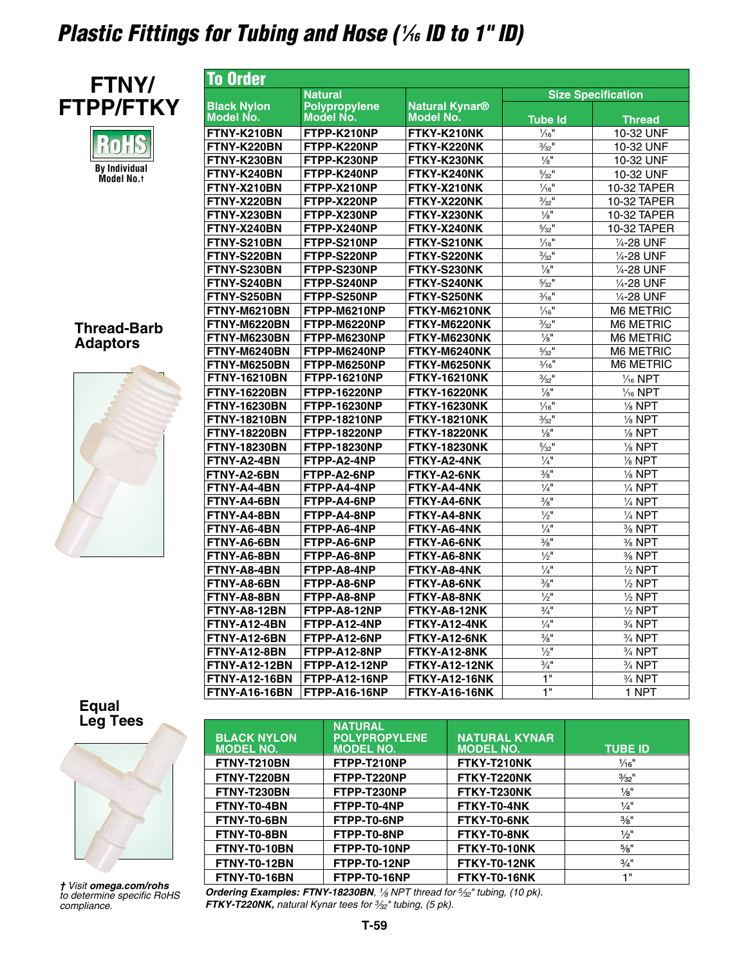# *Plastic Fittings for Tubing and Hose ( <sup>1</sup> ⁄16 ID to 1" ID)*



n  $\mathbb{R}^+$ **By Individual Model No.†**

### **Thread-Barb Adaptors**



| <b>To Order</b>                        |                                   |                                           |                              |                         |
|----------------------------------------|-----------------------------------|-------------------------------------------|------------------------------|-------------------------|
|                                        | <b>Natural</b>                    |                                           | <b>Size Specification</b>    |                         |
| <b>Black Nylon</b><br><b>Model No.</b> | <b>Polypropylene</b><br>Model No. | <b>Natural Kynar®</b><br><b>Model No.</b> | <b>Tube Id</b>               | <b>Thread</b>           |
| FTNY-K210BN                            | FTPP-K210NP                       | FTKY-K210NK                               | $\frac{1}{16}$ "             | 10-32 UNF               |
| FTNY-K220BN                            | FTPP-K220NP                       | FTKY-K220NK                               | $\frac{3}{32}$ <sup>11</sup> | 10-32 UNF               |
| FTNY-K230BN                            | FTPP-K230NP                       | FTKY-K230NK                               | $\frac{1}{8}$                | 10-32 UNF               |
| FTNY-K240BN                            | FTPP-K240NP                       | FTKY-K240NK                               | $\frac{5}{32}$ <sup>11</sup> | 10-32 UNF               |
| FTNY-X210BN                            | FTPP-X210NP                       | FTKY-X210NK                               | $\frac{1}{16}$               | 10-32 TAPER             |
| FTNY-X220BN                            | FTPP-X220NP                       | FTKY-X220NK                               | $\frac{3}{32}$ <sup>11</sup> | 10-32 TAPER             |
| FTNY-X230BN                            | FTPP-X230NP                       | FTKY-X230NK                               | $\frac{1}{8}$                | 10-32 TAPER             |
| FTNY-X240BN                            | FTPP-X240NP                       | FTKY-X240NK                               | $\frac{5}{32}$ <sup>11</sup> | 10-32 TAPER             |
| FTNY-S210BN                            | FTPP-S210NP                       | FTKY-S210NK                               | $1/16$                       | 1/ <sub>4</sub> -28 UNF |
| FTNY-S220BN                            | FTPP-S220NP                       | FTKY-S220NK                               | $\frac{3}{32}$ <sup>11</sup> | 1/ <sub>4</sub> -28 UNF |
| FTNY-S230BN                            | FTPP-S230NP                       | FTKY-S230NK                               | $\frac{1}{8}$                | 1/ <sub>4</sub> -28 UNF |
| FTNY-S240BN                            | FTPP-S240NP                       | FTKY-S240NK                               | $\frac{5}{32}$ <sup>11</sup> | 1/ <sub>4</sub> -28 UNF |
| FTNY-S250BN                            | FTPP-S250NP                       | FTKY-S250NK                               | $\frac{3}{16}$ <sup>11</sup> | 1/ <sub>4</sub> -28 UNF |
| <b>FTNY-M6210BN</b>                    | FTPP-M6210NP                      | FTKY-M6210NK                              | $\frac{1}{16}$ "             | <b>M6 METRIC</b>        |
| FTNY-M6220BN                           | FTPP-M6220NP                      | FTKY-M6220NK                              | $\frac{3}{32}$ <sup>11</sup> | <b>M6 METRIC</b>        |
| FTNY-M6230BN                           | FTPP-M6230NP                      | FTKY-M6230NK                              | $\frac{1}{8}$ <sup>11</sup>  | <b>M6 METRIC</b>        |
| FTNY-M6240BN                           | FTPP-M6240NP                      | FTKY-M6240NK                              | $\frac{5}{32}$ <sup>11</sup> | <b>M6 METRIC</b>        |
| <b>FTNY-M6250BN</b>                    | FTPP-M6250NP                      | FTKY-M6250NK                              | $3/16$ <sup>11</sup>         | <b>M6 METRIC</b>        |
| <b>FTNY-16210BN</b>                    | <b>FTPP-16210NP</b>               | <b>FTKY-16210NK</b>                       | $\frac{3}{32}$ <sup>11</sup> | $\frac{1}{16}$ NPT      |
| <b>FTNY-16220BN</b>                    | <b>FTPP-16220NP</b>               | <b>FTKY-16220NK</b>                       | $\frac{1}{8}$                | $\frac{1}{16}$ NPT      |
| <b>FTNY-16230BN</b>                    | <b>FTPP-16230NP</b>               | <b>FTKY-16230NK</b>                       | $\frac{1}{16}$               | $\frac{1}{8}$ NPT       |
| <b>FTNY-18210BN</b>                    | <b>FTPP-18210NP</b>               | <b>FTKY-18210NK</b>                       | $\frac{3}{32}$ <sup>11</sup> | $\frac{1}{8}$ NPT       |
| <b>FTNY-18220BN</b>                    | <b>FTPP-18220NP</b>               | <b>FTKY-18220NK</b>                       | $\frac{1}{8}$                | $\frac{1}{8}$ NPT       |
| <b>FTNY-18230BN</b>                    | <b>FTPP-18230NP</b>               | <b>FTKY-18230NK</b>                       | $\frac{5}{32}$ <sup>11</sup> | $\frac{1}{8}$ NPT       |
| FTNY-A2-4BN                            | FTPP-A2-4NP                       | FTKY-A2-4NK                               | $\frac{1}{4}$                | $\frac{1}{8}$ NPT       |
| FTNY-A2-6BN                            | FTPP-A2-6NP                       | FTKY-A2-6NK                               | $\frac{3}{8}$                | $\frac{1}{8}$ NPT       |
| FTNY-A4-4BN                            | FTPP-A4-4NP                       | FTKY-A4-4NK                               | $\frac{1}{4}$ <sup>11</sup>  | $\frac{1}{4}$ NPT       |
| FTNY-A4-6BN                            | FTPP-A4-6NP                       | FTKY-A4-6NK                               | $\frac{3}{8}$ "              | $\frac{1}{4}$ NPT       |
| FTNY-A4-8BN                            | FTPP-A4-8NP                       | FTKY-A4-8NK                               | $\frac{1}{2}$                | $\frac{1}{4}$ NPT       |
| FTNY-A6-4BN                            | FTPP-A6-4NP                       | FTKY-A6-4NK                               | $\frac{1}{4}$                | % NPT                   |
| FTNY-A6-6BN                            | FTPP-A6-6NP                       | FTKY-A6-6NK                               | $\frac{3}{8}$                | $\frac{3}{8}$ NPT       |
| FTNY-A6-8BN                            | FTPP-A6-8NP                       | FTKY-A6-8NK                               | $\frac{1}{2}$                | $%$ NPT                 |
| FTNY-A8-4BN                            | FTPP-A8-4NP                       | FTKY-A8-4NK                               | $\frac{1}{4}$                | $\frac{1}{2}$ NPT       |
| FTNY-A8-6BN                            | FTPP-A8-6NP                       | FTKY-A8-6NK                               | $\frac{3}{8}$ <sup>11</sup>  | $\frac{1}{2}$ NPT       |
| FTNY-A8-8BN                            | FTPP-A8-8NP                       | FTKY-A8-8NK                               | $\frac{1}{2}$                | $\frac{1}{2}$ NPT       |
| FTNY-A8-12BN                           | FTPP-A8-12NP                      | FTKY-A8-12NK                              | $\frac{3}{4}$                | $\frac{1}{2}$ NPT       |
| FTNY-A12-4BN                           | FTPP-A12-4NP                      | FTKY-A12-4NK                              | $\frac{1}{4}$                | $\frac{3}{4}$ NPT       |
| FTNY-A12-6BN                           | FTPP-A12-6NP                      | FTKY-A12-6NK                              | $\frac{3}{8}$                | $\frac{3}{4}$ NPT       |
| FTNY-A12-8BN                           | FTPP-A12-8NP                      | FTKY-A12-8NK                              | $\frac{1}{2}$                | $\frac{3}{4}$ NPT       |
| <b>FTNY-A12-12BN</b>                   | <b>FTPP-A12-12NP</b>              | <b>FTKY-A12-12NK</b>                      | $\frac{3}{4}$                | $\frac{3}{4}$ NPT       |
| <b>FTNY-A12-16BN</b>                   | <b>FTPP-A12-16NP</b>              | <b>FTKY-A12-16NK</b>                      | 1"                           | 3/ <sub>4</sub> NPT     |
| <b>FTNY-A16-16BN</b>                   | FTPP-A16-16NP                     | <b>FTKY-A16-16NK</b>                      | 1"                           | 1 NPT                   |

# **Equal**



*† Visit omega.com/rohs to determine specific RoHS compliance.*

| <b>Leg Tees</b>    | <b>BLACK NYLON</b><br><b>MODEL NO.</b> | <b>NATURAL</b><br><b>POLYPROPYLENE</b><br><b>MODEL NO.</b> | <b>NATURAL KYNAR</b><br><b>MODEL NO.</b> | <b>TUBE ID</b>   |
|--------------------|----------------------------------------|------------------------------------------------------------|------------------------------------------|------------------|
|                    | FTNY-T210BN                            | FTPP-T210NP                                                | FTKY-T210NK                              | $\frac{1}{16}$ " |
|                    | FTNY-T220BN                            | FTPP-T220NP                                                | FTKY-T220NK                              | $\frac{3}{32}$ " |
|                    | FTNY-T230BN                            | FTPP-T230NP                                                | FTKY-T230NK                              | $\frac{1}{8}$ "  |
|                    | FTNY-T0-4BN                            | FTPP-T0-4NP                                                | FTKY-T0-4NK                              | $\frac{1}{4}$ "  |
|                    | FTNY-T0-6BN                            | FTPP-T0-6NP                                                | FTKY-T0-6NK                              | $\frac{3}{8}$ "  |
|                    | FTNY-T0-8BN                            | FTPP-T0-8NP                                                | FTKY-T0-8NK                              | $\frac{1}{2}$ "  |
|                    | FTNY-T0-10BN                           | FTPP-T0-10NP                                               | FTKY-T0-10NK                             | $\frac{5}{8}$ "  |
|                    | FTNY-T0-12BN                           | FTPP-T0-12NP                                               | FTKY-T0-12NK                             | $\frac{3}{4}$ "  |
| eit amaan cam/rahe | FTNY-T0-16BN                           | FTPP-T0-16NP                                               | FTKY-T0-16NK                             | 4 H              |

*Ordering Examples: FTNY-18230BN, 1⁄8 NPT thread for 5⁄32" tubing, (10 pk). FTKY-T220NK, natural Kynar tees for 3⁄32" tubing, (5 pk).*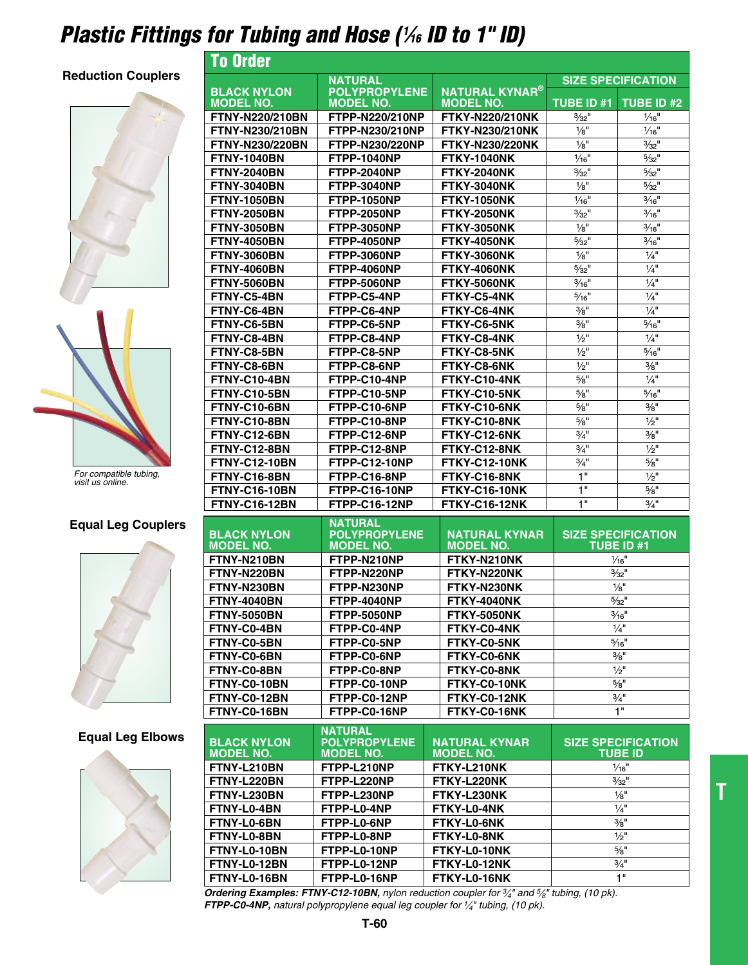## *Plastic Fittings for Tubing and Hose ( <sup>1</sup> ⁄16 ID to 1" ID)* To Order

#### **Reduction Couplers**





*For compatible tubing, visit us online.*

#### **Equal Leg Couplers**



#### **Equal Leg Elbows**



| I U UI UUI                             |                                          |                                           |                             |                                         |
|----------------------------------------|------------------------------------------|-------------------------------------------|-----------------------------|-----------------------------------------|
|                                        | <b>NATURAL</b>                           |                                           | <b>SIZE SPECIFICATION</b>   |                                         |
| <b>BLACK NYLON</b><br><b>MODEL NO.</b> | <b>POLYPROPYLENE</b><br><b>MODEL NO.</b> | <b>NATURAL KYNAR®</b><br><b>MODEL NO.</b> | <b>TUBE ID #1</b>           | <b>TUBE ID #2</b>                       |
|                                        |                                          |                                           | $3/32$ <sup>11</sup>        |                                         |
| <b>FTNY-N220/210BN</b>                 | FTPP-N220/210NP                          | <b>FTKY-N220/210NK</b>                    |                             | $1/16$ <sup>"</sup>                     |
| FTNY-N230/210BN                        | FTPP-N230/210NP                          | <b>FTKY-N230/210NK</b>                    | $\frac{1}{8}$ "             | $\frac{1}{16}$ "                        |
| FTNY-N230/220BN                        | FTPP-N230/220NP                          | <b>FTKY-N230/220NK</b>                    | $\frac{1}{8}$ "             | $3/32$ <sup>11</sup>                    |
| <b>FTNY-1040BN</b>                     | <b>FTPP-1040NP</b>                       | <b>FTKY-1040NK</b>                        | $1/16$ <sup>"</sup>         | $5/32$ <sup>11</sup>                    |
| <b>FTNY-2040BN</b>                     | <b>FTPP-2040NP</b>                       | <b>FTKY-2040NK</b>                        | $3/32$ <sup>11</sup>        | $5/32$ <sup>11</sup>                    |
| <b>FTNY-3040BN</b>                     | FTPP-3040NP                              | <b>FTKY-3040NK</b>                        | $\frac{1}{8}$ "             | $5/32$ <sup>11</sup>                    |
| <b>FTNY-1050BN</b>                     | <b>FTPP-1050NP</b>                       | <b>FTKY-1050NK</b>                        | 1/16"                       | $\frac{3}{16}$ "                        |
| <b>FTNY-2050BN</b>                     | <b>FTPP-2050NP</b>                       | <b>FTKY-2050NK</b>                        | $3/32$ <sup>11</sup>        | $\frac{3}{16}$ "                        |
| <b>FTNY-3050BN</b>                     | <b>FTPP-3050NP</b>                       | <b>FTKY-3050NK</b>                        | $\frac{1}{8}$ "             | $\frac{3}{16}$ "                        |
| <b>FTNY-4050BN</b>                     | <b>FTPP-4050NP</b>                       | <b>FTKY-4050NK</b>                        | $5/32$ <sup>11</sup>        | $\frac{3}{16}$ "                        |
| <b>FTNY-3060BN</b>                     | <b>FTPP-3060NP</b>                       | <b>FTKY-3060NK</b>                        | $\frac{1}{8}$ "             | $\frac{1}{4}$                           |
| <b>FTNY-4060BN</b>                     | <b>FTPP-4060NP</b>                       | <b>FTKY-4060NK</b>                        | $5/32$ <sup>11</sup>        | $\frac{1}{4}$                           |
| <b>FTNY-5060BN</b>                     | <b>FTPP-5060NP</b>                       | <b>FTKY-5060NK</b>                        | $\frac{3}{16}$ "            | $1/4$ "                                 |
| FTNY-C5-4BN                            | FTPP-C5-4NP                              | FTKY-C5-4NK                               | $\frac{5}{16}$ "            | $\frac{1}{4}$                           |
| FTNY-C6-4BN                            | FTPP-C6-4NP                              | <b>FTKY-C6-4NK</b>                        | $\frac{3}{8}$ "             | $\frac{1}{4}$ "                         |
| FTNY-C6-5BN                            | FTPP-C6-5NP                              | FTKY-C6-5NK                               | $\frac{3}{8}$ <sup>11</sup> | $\frac{5}{16}$ "                        |
| FTNY-C8-4BN                            | FTPP-C8-4NP                              | FTKY-C8-4NK                               | $\frac{1}{2}$ "             | $\frac{1}{4}$ "                         |
| FTNY-C8-5BN                            | FTPP-C8-5NP                              | FTKY-C8-5NK                               | $\frac{1}{2}$               | $\frac{5}{16}$ "                        |
| FTNY-C8-6BN                            | FTPP-C8-6NP                              | FTKY-C8-6NK                               | $\frac{1}{2}$ "             | $\frac{3}{8}$ "                         |
|                                        |                                          | FTKY-C10-4NK                              |                             | $\frac{1}{4}$ "                         |
| FTNY-C10-4BN                           | FTPP-C10-4NP                             |                                           | $5/8$ "                     |                                         |
| FTNY-C10-5BN                           | FTPP-C10-5NP                             | FTKY-C10-5NK                              | $5/8$ "                     | $\frac{5}{16}$ "                        |
| FTNY-C10-6BN                           | FTPP-C10-6NP                             | FTKY-C10-6NK                              | 5/8"                        | $\frac{3}{8}$ "                         |
| FTNY-C10-8BN                           | FTPP-C10-8NP                             | FTKY-C10-8NK                              | $5/8$ <sup>11</sup>         | $\frac{1}{2}$ "                         |
| FTNY-C12-6BN                           | FTPP-C12-6NP                             | FTKY-C12-6NK                              | $\frac{3}{4}$ "             | $\frac{3}{8}$ "                         |
| FTNY-C12-8BN                           | FTPP-C12-8NP                             | FTKY-C12-8NK                              | $\frac{3}{4}$ "             | $\frac{1}{2}$ "                         |
| <b>FTNY-C12-10BN</b>                   | FTPP-C12-10NP                            | <b>FTKY-C12-10NK</b>                      | $\frac{3}{4}$ "             | $5/8$ "                                 |
| FTNY-C16-8BN                           | FTPP-C16-8NP                             | FTKY-C16-8NK                              |                             |                                         |
|                                        |                                          |                                           | 1"                          | $1/2$ "                                 |
| <b>FTNY-C16-10BN</b>                   | FTPP-C16-10NP                            | FTKY-C16-10NK                             | 1"                          | $5/8$ "                                 |
| <b>FTNY-C16-12BN</b>                   | FTPP-C16-12NP                            | <b>FTKY-C16-12NK</b>                      | 1"                          | $\frac{3}{4}$ "                         |
|                                        |                                          |                                           |                             |                                         |
|                                        | <b>NATURAL</b><br><b>POLYPROPYLENE</b>   | <b>NATURAL KYNAR</b>                      |                             |                                         |
| <b>BLACK NYLON</b><br><b>MODEL NO.</b> | <b>MODEL NO.</b>                         | <b>MODEL NO.</b>                          |                             | <b>SIZE SPECIFICATION</b><br>TUBE ID #1 |
| FTNY-N210BN                            | FTPP-N210NP                              | FTKY-N210NK                               |                             | $1/16$ "                                |
| FTNY-N220BN                            | FTPP-N220NP                              | FTKY-N220NK                               |                             | $3/32$ <sup>11</sup>                    |
| FTNY-N230BN                            | FTPP-N230NP                              | FTKY-N230NK                               |                             | $1/8$ "                                 |
| <b>FTNY-4040BN</b>                     | <b>FTPP-4040NP</b>                       | <b>FTKY-4040NK</b>                        |                             | $5/32$ <sup>11</sup>                    |
| <b>FTNY-5050BN</b>                     | <b>FTPP-5050NP</b>                       | <b>FTKY-5050NK</b>                        |                             | $\frac{3}{16}$ "                        |
|                                        | FTPP-C0-4NP                              |                                           |                             | $\frac{1}{4}$                           |
| FTNY-C0-4BN                            |                                          | FTKY-C0-4NK                               |                             |                                         |
| FTNY-C0-5BN                            | FTPP-C0-5NP                              | FTKY-C0-5NK                               |                             | $\frac{5}{16}$ "                        |
| FTNY-C0-6BN                            | FTPP-C0-6NP                              | FTKY-C0-6NK                               |                             | $\frac{3}{8}$ <sup>11</sup>             |
| FTNY-C0-8BN                            | FTPP-C0-8NP                              | FTKY-C0-8NK                               |                             | $\frac{1}{2}$ "                         |
| FTNY-C0-10BN                           | FTPP-C0-10NP                             | FTKY-C0-10NK                              |                             | $5/8$ "                                 |
| FTNY-C0-12BN                           | FTPP-C0-12NP                             | FTKY-C0-12NK                              |                             | $\frac{3}{4}$ "                         |
| FTNY-C0-16BN                           | FTPP-C0-16NP                             | FTKY-C0-16NK                              |                             | 1"                                      |
|                                        | <b>NATURAL</b>                           |                                           |                             |                                         |
| <b>BLACK NYLON</b>                     | <b>POLYPROPYLENE</b>                     | <b>NATURAL KYNAR</b>                      |                             | <b>SIZE SPECIFICATION</b>               |
| <b>MODEL NO.</b>                       | <b>MODEL NO.</b>                         | <b>MODEL NO.</b>                          |                             | <b>TUBE ID</b>                          |
| FTNY-L210BN                            | FTPP-L210NP                              | FTKY-L210NK                               |                             | $1/16$ "                                |
| FTNY-L220BN                            | FTPP-L220NP                              | FTKY-L220NK                               |                             | $\frac{3}{32}$ "                        |
| FTNY-L230BN                            | FTPP-L230NP                              | FTKY-L230NK                               |                             | $1/8$ "                                 |
| FTNY-L0-4BN                            | FTPP-L0-4NP                              | FTKY-L0-4NK                               |                             | $\frac{1}{4}$ "                         |
| FTNY-L0-6BN                            | FTPP-L0-6NP                              | FTKY-L0-6NK                               |                             | $\frac{3}{8}$ "                         |
| FTNY-L0-8BN                            | FTPP-L0-8NP                              | FTKY-L0-8NK                               |                             | $\frac{1}{2}$ "                         |
| FTNY-L0-10BN                           | FTPP-L0-10NP                             | FTKY-L0-10NK                              |                             | $5/8$ "                                 |
| FTNY-L0-12BN                           | FTPP-L0-12NP                             | FTKY-L0-12NK                              |                             | $\frac{3}{4}$ "                         |

*Ordering Examples: FTNY-C12-10BN, nylon reduction coupler for 3⁄4" and 5⁄8" tubing, (10 pk). FTPP-C0-4NP, natural polypropylene equal leg coupler for 1⁄4" tubing, (10 pk).*

**T**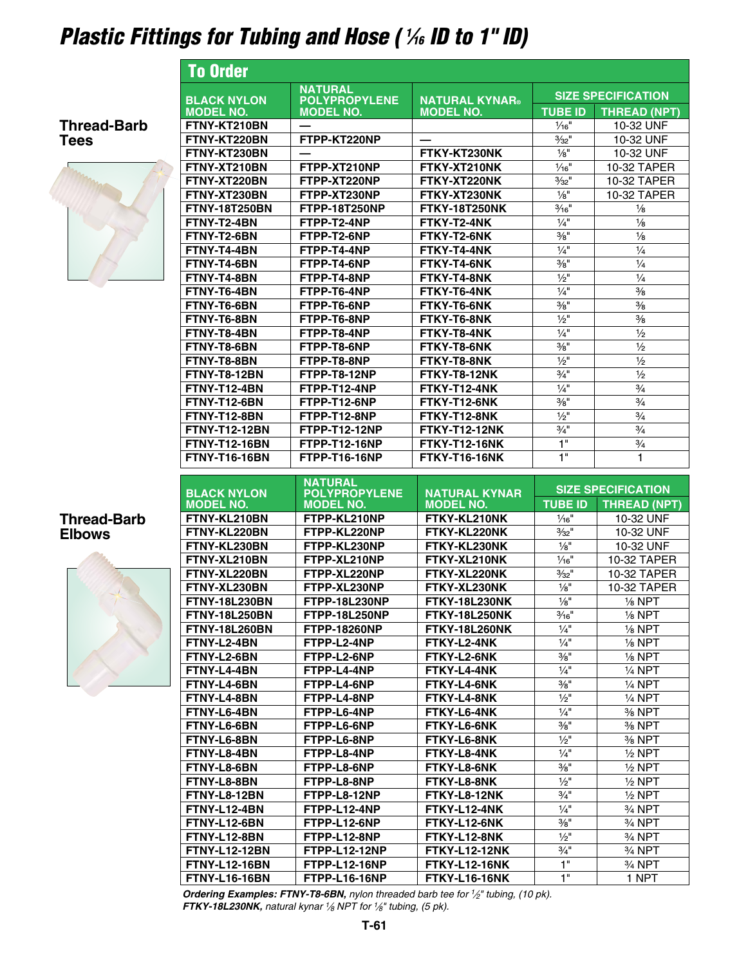# *Plastic Fittings for Tubing and Hose ( 1 ⁄16 ID to 1" ID)*

To Order



### **Thread-Barb Elbows**



|                                              | <b>NATURAL</b>                           |                                              | <b>SIZE SPECIFICATION</b>   |                                  |
|----------------------------------------------|------------------------------------------|----------------------------------------------|-----------------------------|----------------------------------|
| <b>BLACK NYLON</b><br><b>MODEL NO.</b>       | <b>POLYPROPYLENE</b><br><b>MODEL NO.</b> | <b>NATURAL KYNAR®</b><br><b>MODEL NO.</b>    | <b>TUBE ID</b>              | <b>THREAD (NPT)</b>              |
| FTNY-KT210BN                                 |                                          |                                              | $1/16$ <sup>"</sup>         | 10-32 UNF                        |
| FTNY-KT220BN                                 | FTPP-KT220NP                             |                                              | $3/32$ <sup>11</sup>        | 10-32 UNF                        |
| FTNY-KT230BN                                 |                                          | FTKY-KT230NK                                 | $\frac{1}{8}$ "             | 10-32 UNF                        |
| FTNY-XT210BN                                 | FTPP-XT210NP                             | FTKY-XT210NK                                 | $1/16$ <sup>"</sup>         | 10-32 TAPER                      |
| FTNY-XT220BN                                 | FTPP-XT220NP                             | FTKY-XT220NK                                 | $3/32$ <sup>11</sup>        | 10-32 TAPER                      |
| FTNY-XT230BN                                 | FTPP-XT230NP                             | FTKY-XT230NK                                 | $1/8$ "                     | 10-32 TAPER                      |
| <b>FTNY-18T250BN</b>                         | <b>FTPP-18T250NP</b>                     | <b>FTKY-18T250NK</b>                         | $\frac{3}{16}$ "            | $\frac{1}{8}$                    |
| FTNY-T2-4BN                                  | FTPP-T2-4NP                              | FTKY-T2-4NK                                  | $\frac{1}{4}$ "             | $\frac{1}{8}$                    |
| FTNY-T2-6BN                                  | FTPP-T2-6NP                              | FTKY-T2-6NK                                  | $\frac{3}{8}$ "             | $\frac{1}{8}$                    |
| FTNY-T4-4BN                                  | FTPP-T4-4NP                              | FTKY-T4-4NK                                  | $1/4$ "                     | $\frac{1}{4}$                    |
| FTNY-T4-6BN                                  | FTPP-T4-6NP                              | FTKY-T4-6NK                                  | $\frac{3}{8}$ "             | $\frac{1}{4}$                    |
| <b>FTNY-T4-8BN</b>                           | FTPP-T4-8NP                              | FTKY-T4-8NK                                  | $1/2$ "                     | $\frac{1}{4}$                    |
| <b>FTNY-T6-4BN</b>                           | FTPP-T6-4NP                              | FTKY-T6-4NK                                  | $\frac{1}{4}$               | $\frac{3}{8}$                    |
| FTNY-T6-6BN                                  | FTPP-T6-6NP                              | FTKY-T6-6NK                                  | $\frac{3}{8}$ "             | $\frac{3}{8}$                    |
| FTNY-T6-8BN                                  | FTPP-T6-8NP                              | FTKY-T6-8NK                                  | $\frac{1}{2}$ "             | $\frac{3}{8}$                    |
| FTNY-T8-4BN                                  | FTPP-T8-4NP                              | FTKY-T8-4NK                                  | $\frac{1}{4}$               | $\frac{1}{2}$                    |
| FTNY-T8-6BN                                  | FTPP-T8-6NP                              | FTKY-T8-6NK                                  | $\frac{3}{8}$ <sup>11</sup> | $\frac{1}{2}$                    |
| FTNY-T8-8BN                                  | FTPP-T8-8NP                              | FTKY-T8-8NK                                  | $\frac{1}{2}$ "             | $\frac{1}{2}$                    |
| FTNY-T8-12BN                                 | FTPP-T8-12NP                             | FTKY-T8-12NK                                 | $\frac{3}{4}$ "             | $\frac{1}{2}$                    |
| <b>FTNY-T12-4BN</b>                          | FTPP-T12-4NP                             | FTKY-T12-4NK                                 | $\frac{1}{4}$               | $\frac{3}{4}$                    |
| FTNY-T12-6BN                                 | FTPP-T12-6NP                             | FTKY-T12-6NK                                 | $\frac{3}{8}$ <sup>11</sup> | $\frac{3}{4}$                    |
| FTNY-T12-8BN                                 | FTPP-T12-8NP                             | FTKY-T12-8NK                                 | $\frac{1}{2}$ "             | $\frac{3}{4}$                    |
| <b>FTNY-T12-12BN</b>                         | <b>FTPP-T12-12NP</b>                     | <b>FTKY-T12-12NK</b>                         | $\frac{3}{4}$ "             | $\frac{3}{4}$                    |
| <b>FTNY-T12-16BN</b>                         | <b>FTPP-T12-16NP</b>                     | <b>FTKY-T12-16NK</b>                         | 1"                          | $\frac{3}{4}$                    |
| <b>FTNY-T16-16BN</b>                         | <b>FTPP-T16-16NP</b>                     | <b>FTKY-T16-16NK</b>                         | 1"                          | 1                                |
|                                              |                                          |                                              |                             |                                  |
|                                              | <b>NATURAL</b>                           |                                              |                             |                                  |
|                                              |                                          |                                              |                             | <b>SIZE SPECIFICATION</b>        |
| <b>BLACK NYLON</b>                           | <b>POLYPROPYLENE</b><br><b>MODEL NO.</b> | <b>NATURAL KYNAR</b>                         | <b>TUBE ID</b>              |                                  |
| <b>MODEL NO.</b><br>FTNY-KL210BN             | FTPP-KL210NP                             | <b>MODEL NO.</b><br>FTKY-KL210NK             | $\frac{1}{16}$              | <b>THREAD (NPT)</b><br>10-32 UNF |
| FTNY-KL220BN                                 | FTPP-KL220NP                             | FTKY-KL220NK                                 | $\frac{3}{32}$ "            | 10-32 UNF                        |
| FTNY-KL230BN                                 | FTPP-KL230NP                             | FTKY-KL230NK                                 | $\frac{1}{8}$ "             | 10-32 UNF                        |
| FTNY-XL210BN                                 | FTPP-XL210NP                             | FTKY-XL210NK                                 | $\frac{1}{16}$              | 10-32 TAPER                      |
| FTNY-XL220BN                                 | FTPP-XL220NP                             | FTKY-XL220NK                                 | $3/32$ <sup>11</sup>        | 10-32 TAPER                      |
| FTNY-XL230BN                                 | FTPP-XL230NP                             | FTKY-XL230NK                                 | $\frac{1}{8}$               | 10-32 TAPER                      |
| <b>FTNY-18L230BN</b>                         | <b>FTPP-18L230NP</b>                     | <b>FTKY-18L230NK</b>                         | $\frac{1}{8}$ "             | $\frac{1}{8}$ NPT                |
| <b>FTNY-18L250BN</b>                         | <b>FTPP-18L250NP</b>                     | <b>FTKY-18L250NK</b>                         | $\frac{3}{16}$ "            | $\frac{1}{8}$ NPT                |
| <b>FTNY-18L260BN</b>                         | <b>FTPP-18260NP</b>                      | <b>FTKY-18L260NK</b>                         | $\frac{1}{4}$ "             | $\frac{1}{8}$ NPT                |
| FTNY-L2-4BN                                  | FTPP-L2-4NP                              | FTKY-L2-4NK                                  | $\frac{1}{4}$ "             | $\frac{1}{8}$ NPT                |
| FTNY-L2-6BN                                  | FTPP-L2-6NP                              | FTKY-L2-6NK                                  | $\frac{3}{8}$ "             | $\frac{1}{8}$ NPT                |
| FTNY-L4-4BN                                  | FTPP-L4-4NP                              | FTKY-L4-4NK                                  | $1/4$ "                     | 1⁄4 NPT                          |
| FTNY-L4-6BN                                  | FTPP-L4-6NP                              | FTKY-L4-6NK                                  | $\frac{3}{8}$ "             | $1/4$ NPT                        |
| FTNY-L4-8BN                                  | FTPP-L4-8NP                              | FTKY-L4-8NK                                  | $\frac{1}{2}$ "             | $\frac{1}{4}$ NPT                |
| FTNY-L6-4BN                                  | FTPP-L6-4NP                              | FTKY-L6-4NK                                  | $\frac{1}{4}$ "             | % NPT                            |
| FTNY-L6-6BN                                  | FTPP-L6-6NP                              | FTKY-L6-6NK                                  | $\frac{3}{8}$ "             | % NPT                            |
| FTNY-L6-8BN                                  | FTPP-L6-8NP                              | FTKY-L6-8NK                                  | $\frac{1}{2}$ "             | 3/ <sub>8</sub> NPT              |
| FTNY-L8-4BN                                  | FTPP-L8-4NP                              | FTKY-L8-4NK                                  | $1/4$ "                     | $\frac{1}{2}$ NPT                |
| FTNY-L8-6BN                                  | FTPP-L8-6NP                              | FTKY-L8-6NK                                  | $\frac{3}{8}$ "             | ½ NPT                            |
| FTNY-L8-8BN                                  | FTPP-L8-8NP                              | FTKY-L8-8NK                                  | $\frac{1}{2}$ "             | $\frac{1}{2}$ NPT                |
| FTNY-L8-12BN                                 | FTPP-L8-12NP                             | FTKY-L8-12NK                                 | $\frac{3}{4}$ "             | $\frac{1}{2}$ NPT                |
| FTNY-L12-4BN                                 | FTPP-L12-4NP                             | FTKY-L12-4NK                                 | $\frac{1}{4}$               | 3/ <sub>4</sub> NPT              |
| FTNY-L12-6BN                                 | FTPP-L12-6NP                             | FTKY-L12-6NK                                 | $\frac{3}{8}$ "             | 3/ <sub>4</sub> NPT              |
| FTNY-L12-8BN                                 | FTPP-L12-8NP                             | FTKY-L12-8NK                                 | $\frac{1}{2}$ "             | 3/ <sub>4</sub> NPT              |
| <b>FTNY-L12-12BN</b>                         | FTPP-L12-12NP                            | FTKY-L12-12NK                                | $\frac{3}{4}$ "             | 3/4 NPT                          |
| <b>FTNY-L12-16BN</b><br><b>FTNY-L16-16BN</b> | FTPP-L12-16NP<br>FTPP-L16-16NP           | <b>FTKY-L12-16NK</b><br><b>FTKY-L16-16NK</b> | 1"<br>1"                    | 3⁄4 NPT<br>1 NPT                 |

*Ordering Examples: FTNY-T8-6BN, nylon threaded barb tee for 1⁄2" tubing, (10 pk). FTKY-18L230NK, natural kynar 1⁄8 NPT for 1⁄8" tubing, (5 pk).*